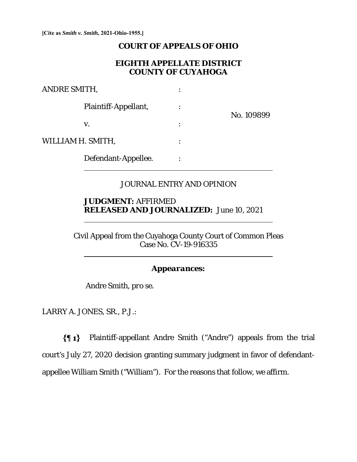**[Cite as** *Smith v. Smith***, 2021-Ohio-1955.]**

## **COURT OF APPEALS OF OHIO**

## **EIGHTH APPELLATE DISTRICT COUNTY OF CUYAHOGA**

| ANDRE SMITH,      |                      |  |            |
|-------------------|----------------------|--|------------|
|                   | Plaintiff-Appellant, |  | No. 109899 |
|                   | V.                   |  |            |
| WILLIAM H. SMITH, |                      |  |            |
|                   | Defendant-Appellee.  |  |            |

# JOURNAL ENTRY AND OPINION

# **JUDGMENT:** AFFIRMED **RELEASED AND JOURNALIZED:** June 10, 2021

Civil Appeal from the Cuyahoga County Court of Common Pleas Case No. CV-19-916335

## *Appearances:*

Andre Smith, *pro se*.

LARRY A. JONES, SR., P.J.:

 $\overline{a}$ 

 $\overline{a}$ 

Plaintiff-appellant Andre Smith ("Andre") appeals from the trial court's July 27, 2020 decision granting summary judgment in favor of defendantappellee William Smith ("William"). For the reasons that follow, we affirm.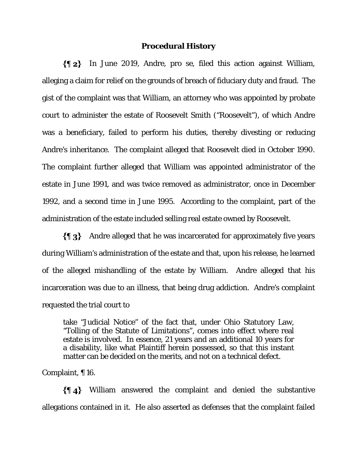#### **Procedural History**

In June 2019, Andre, pro se, filed this action against William, alleging a claim for relief on the grounds of breach of fiduciary duty and fraud. The gist of the complaint was that William, an attorney who was appointed by probate court to administer the estate of Roosevelt Smith ("Roosevelt"), of which Andre was a beneficiary, failed to perform his duties, thereby divesting or reducing Andre's inheritance. The complaint alleged that Roosevelt died in October 1990. The complaint further alleged that William was appointed administrator of the estate in June 1991, and was twice removed as administrator, once in December 1992, and a second time in June 1995. According to the complaint, part of the administration of the estate included selling real estate owned by Roosevelt.

 $\{\P_3\}$  Andre alleged that he was incarcerated for approximately five years during William's administration of the estate and that, upon his release, he learned of the alleged mishandling of the estate by William. Andre alleged that his incarceration was due to an illness, that being drug addiction. Andre's complaint requested the trial court to

take "Judicial Notice" of the fact that, under Ohio Statutory Law, "Tolling of the Statute of Limitations", comes into effect where real estate is involved. In essence, 21 years and an additional 10 years for a disability, like what Plaintiff herein possessed, so that this instant matter can be decided on the merits, and not on a technical defect.

Complaint, ¶ 16.

William answered the complaint and denied the substantive allegations contained in it. He also asserted as defenses that the complaint failed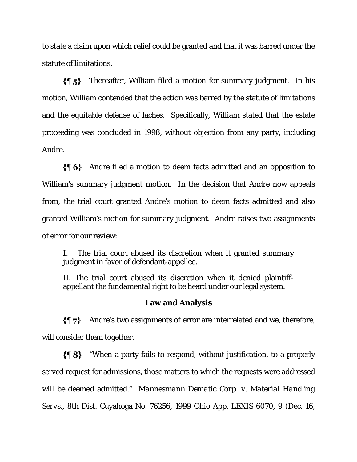to state a claim upon which relief could be granted and that it was barred under the statute of limitations.

 $\{95\}$ Thereafter, William filed a motion for summary judgment. In his motion, William contended that the action was barred by the statute of limitations and the equitable defense of laches. Specifically, William stated that the estate proceeding was concluded in 1998, without objection from any party, including Andre.

Andre filed a motion to deem facts admitted and an opposition to William's summary judgment motion. In the decision that Andre now appeals from, the trial court granted Andre's motion to deem facts admitted and also granted William's motion for summary judgment. Andre raises two assignments of error for our review:

I. The trial court abused its discretion when it granted summary judgment in favor of defendant-appellee.

II. The trial court abused its discretion when it denied plaintiffappellant the fundamental right to be heard under our legal system.

# **Law and Analysis**

 $\{\P\}$  Andre's two assignments of error are interrelated and we, therefore, will consider them together.

 $\{\P 8\}$  "When a party fails to respond, without justification, to a properly served request for admissions, those matters to which the requests were addressed will be deemed admitted." *Mannesmann Dematic Corp. v. Material Handling Servs.*, 8th Dist. Cuyahoga No. 76256, 1999 Ohio App. LEXIS 6070, 9 (Dec. 16,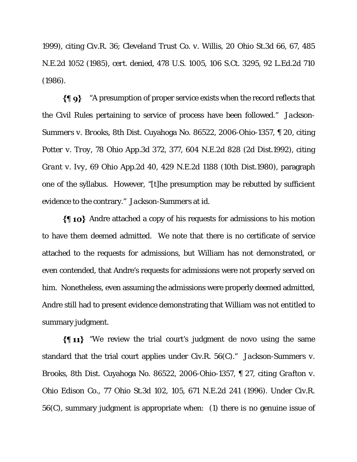1999), citing Civ.R. 36; *Cleveland Trust Co. v. Willis*, 20 Ohio St.3d 66, 67, 485 N.E.2d 1052 (1985), *cert. denied*, 478 U.S. 1005, 106 S.Ct. 3295, 92 L.Ed.2d 710 (1986).

 $\{\P\$ 9} "A presumption of proper service exists when the record reflects that the Civil Rules pertaining to service of process have been followed." *Jackson-Summers v. Brooks*, 8th Dist. Cuyahoga No. 86522, 2006-Ohio-1357, ¶ 20, citing *Potter v. Troy*, 78 Ohio App.3d 372, 377, 604 N.E.2d 828 (2d Dist.1992), citing *Grant v. Ivy*, 69 Ohio App.2d 40, 429 N.E.2d 1188 (10th Dist.1980), paragraph one of the syllabus. However, "[t]he presumption may be rebutted by sufficient evidence to the contrary." *Jackson-Summers* at *id.* 

 $\{\P$  10} Andre attached a copy of his requests for admissions to his motion to have them deemed admitted. We note that there is no certificate of service attached to the requests for admissions, but William has not demonstrated, or even contended, that Andre's requests for admissions were not properly served on him. Nonetheless, even assuming the admissions were properly deemed admitted, Andre still had to present evidence demonstrating that William was not entitled to summary judgment.

 $\{\P 11\}$  "We review the trial court's judgment de novo using the same standard that the trial court applies under Civ.R. 56(C)." *Jackson-Summers v. Brooks*, 8th Dist. Cuyahoga No. 86522, 2006-Ohio-1357, ¶ 27, citing *Grafton v. Ohio Edison Co.*, 77 Ohio St.3d 102, 105, 671 N.E.2d 241 (1996). Under Civ.R. 56(C), summary judgment is appropriate when: (1) there is no genuine issue of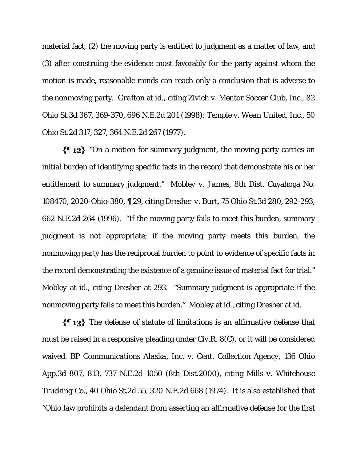material fact, (2) the moving party is entitled to judgment as a matter of law, and (3) after construing the evidence most favorably for the party against whom the motion is made, reasonable minds can reach only a conclusion that is adverse to the nonmoving party. *Grafton* at *id.*, citing *Zivich v. Mentor Soccer Club, Inc.*, 82 Ohio St.3d 367, 369-370, 696 N.E.2d 201 (1998); *Temple v. Wean United, Inc.*, 50 Ohio St.2d 317, 327, 364 N.E.2d 267 (1977).

 $\{\P_1\}$  "On a motion for summary judgment, the moving party carries an initial burden of identifying specific facts in the record that demonstrate his or her entitlement to summary judgment." *Mobley v. James*, 8th Dist. Cuyahoga No. 108470, 2020-Ohio-380, ¶ 29, citing *Dresher v. Burt*, 75 Ohio St.3d 280, 292-293, 662 N.E.2d 264 (1996). "If the moving party fails to meet this burden, summary judgment is not appropriate; if the moving party meets this burden, the nonmoving party has the reciprocal burden to point to evidence of specific facts in the record demonstrating the existence of a genuine issue of material fact for trial." *Mobley* at *id.*, citing *Dresher* at 293. "Summary judgment is appropriate if the nonmoving party fails to meet this burden." *Mobley* at *id.*, citing *Dresher* at *id.* 

The defense of statute of limitations is an affirmative defense that must be raised in a responsive pleading under Civ.R. 8(C), or it will be considered waived. *BP Communications Alaska, Inc. v. Cent. Collection Agency*, 136 Ohio App.3d 807, 813, 737 N.E.2d 1050 (8th Dist.2000), citing *Mills v. Whitehouse Trucking Co.*, 40 Ohio St.2d 55, 320 N.E.2d 668 (1974). It is also established that "Ohio law prohibits a defendant from asserting an affirmative defense for the first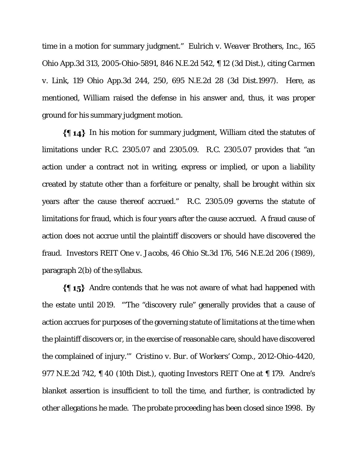time in a motion for summary judgment." *Eulrich v. Weaver Brothers, Inc.*, 165 Ohio App.3d 313, 2005-Ohio-5891, 846 N.E.2d 542, ¶ 12 (3d Dist.), citing *Carmen v. Link*, 119 Ohio App.3d 244, 250, 695 N.E.2d 28 (3d Dist.1997). Here, as mentioned, William raised the defense in his answer and, thus, it was proper ground for his summary judgment motion.

 $\{\{\,\,\,\,\,\}\}$  In his motion for summary judgment, William cited the statutes of limitations under R.C. 2305.07 and 2305.09. R.C. 2305.07 provides that "an action under a contract not in writing, express or implied, or upon a liability created by statute other than a forfeiture or penalty, shall be brought within six years after the cause thereof accrued." R.C. 2305.09 governs the statute of limitations for fraud, which is four years after the cause accrued. A fraud cause of action does not accrue until the plaintiff discovers or should have discovered the fraud. *Investors REIT One v. Jacobs*, 46 Ohio St.3d 176, 546 N.E.2d 206 (1989), paragraph 2(b) of the syllabus.

 $\{\$\mathbf{15}\}\$  Andre contends that he was not aware of what had happened with the estate until 2019. "'The "discovery rule" generally provides that a cause of action accrues for purposes of the governing statute of limitations at the time when the plaintiff discovers or, in the exercise of reasonable care, should have discovered the complained of injury.'" *Cristino v. Bur. of Workers' Comp.*, 2012-Ohio-4420, 977 N.E.2d 742, ¶ 40 (10th Dist.), quoting *Investors REIT One* at ¶ 179. Andre's blanket assertion is insufficient to toll the time, and further, is contradicted by other allegations he made. The probate proceeding has been closed since 1998. By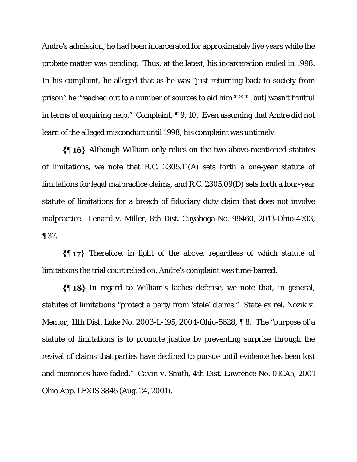Andre's admission, he had been incarcerated for approximately five years while the probate matter was pending. Thus, at the latest, his incarceration ended in 1998. In his complaint, he alleged that as he was "just returning back to society from prison" he "reached out to a number of sources to aid him \* \* \* [but] wasn't fruitful in terms of acquiring help." Complaint, ¶ 9, 10. Even assuming that Andre did not learn of the alleged misconduct until 1998, his complaint was untimely.

Although William only relies on the two above-mentioned statutes of limitations, we note that R.C. 2305.11(A) sets forth a one-year statute of limitations for legal malpractice claims, and R.C. 2305.09(D) sets forth a four-year statute of limitations for a breach of fiduciary duty claim that does not involve malpractice. *Lenard v. Miller*, 8th Dist. Cuyahoga No. 99460, 2013-Ohio-4703, ¶ 37.

 $\{\P\$  17} Therefore, in light of the above, regardless of which statute of limitations the trial court relied on, Andre's complaint was time-barred.

In regard to William's laches defense, we note that, in general, statutes of limitations "protect a party from 'stale' claims." *State ex rel. Nozik v. Mentor*, 11th Dist. Lake No. 2003-L-195, 2004-Ohio-5628, ¶ 8. The "purpose of a statute of limitations is to promote justice by preventing surprise through the revival of claims that parties have declined to pursue until evidence has been lost and memories have faded." *Cavin v. Smith*, 4th Dist. Lawrence No. 01CA5, 2001 Ohio App. LEXIS 3845 (Aug. 24, 2001).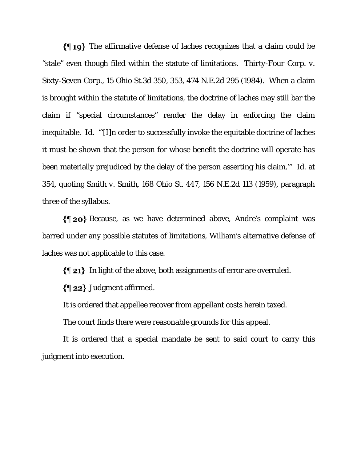$\{\P 19\}$  The affirmative defense of laches recognizes that a claim could be "stale" even though filed within the statute of limitations. *Thirty-Four Corp. v. Sixty-Seven Corp.*, 15 Ohio St.3d 350, 353, 474 N.E.2d 295 (1984). When a claim is brought within the statute of limitations, the doctrine of laches may still bar the claim if "special circumstances" render the delay in enforcing the claim inequitable. *Id.* "'[I]n order to successfully invoke the equitable doctrine of laches it must be shown that the person for whose benefit the doctrine will operate has been materially prejudiced by the delay of the person asserting his claim.'" *Id.* at 354, quoting *Smith v. Smith*, 168 Ohio St. 447, 156 N.E.2d 113 (1959), paragraph three of the syllabus.

Because, as we have determined above, Andre's complaint was barred under any possible statutes of limitations, William's alternative defense of laches was not applicable to this case.

In light of the above, both assignments of error are overruled.

 $\{\P 22\}$  Judgment affirmed.

It is ordered that appellee recover from appellant costs herein taxed.

The court finds there were reasonable grounds for this appeal.

It is ordered that a special mandate be sent to said court to carry this judgment into execution.